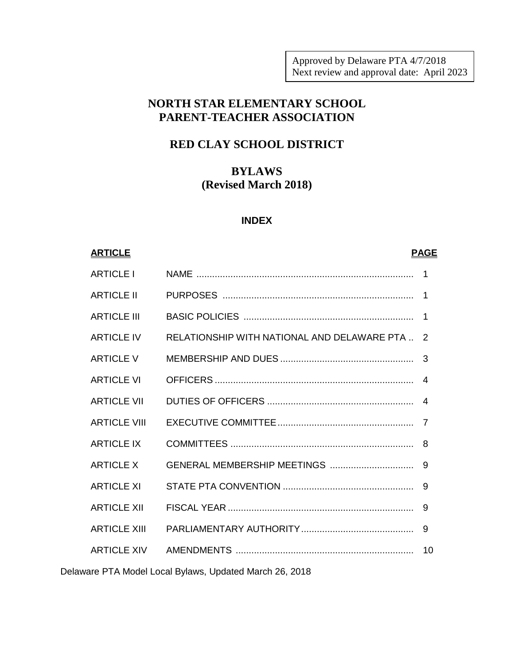Approved by Delaware PTA 4/7/2018 Next review and approval date: April 2023

# **NORTH STAR ELEMENTARY SCHOOL PARENT-TEACHER ASSOCIATION**

# **RED CLAY SCHOOL DISTRICT**

# **BYLAWS (Revised March 2018)**

# **INDEX**

# **ARTICLE PAGE** ARTICLE I NAME ................................................................................... 1 ARTICLE II PURPOSES ......................................................................... 1 ARTICLE III BASIC POLICIES ................................................................. 1 ARTICLE IV RELATIONSHIP WITH NATIONAL AND DELAWARE PTA .. 2 ARTICLE V MEMBERSHIP AND DUES ................................................... 3 ARTICLE VI OFFICERS ............................................................................ 4 ARTICLE VII DUTIES OF OFFICERS ........................................................ 4 ARTICLE VIII EXECUTIVE COMMITTEE.................................................... 7 ARTICLE IX COMMITTEES ...................................................................... 8 ARTICLE X GENERAL MEMBERSHIP MEETINGS ................................ 9 ARTICLE XI STATE PTA CONVENTION .................................................. 9 ARTICLE XII FISCAL YEAR ....................................................................... 9 ARTICLE XIII PARLIAMENTARY AUTHORITY........................................... 9 ARTICLE XIV AMENDMENTS .................................................................... 10

Delaware PTA Model Local Bylaws, Updated March 26, 2018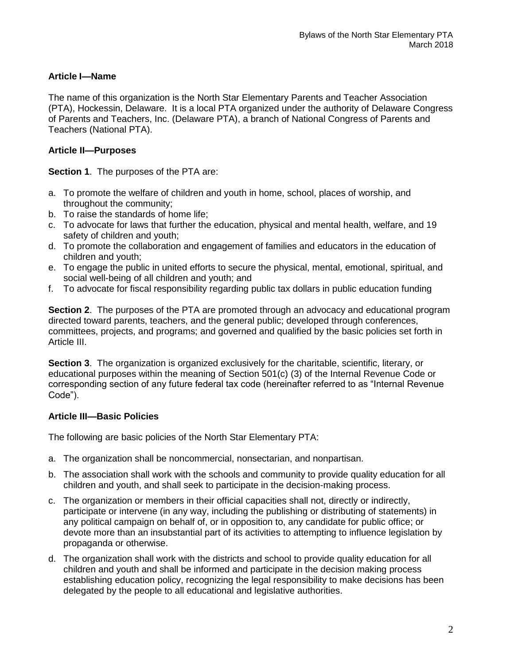# **Article I—Name**

The name of this organization is the North Star Elementary Parents and Teacher Association (PTA), Hockessin, Delaware. It is a local PTA organized under the authority of Delaware Congress of Parents and Teachers, Inc. (Delaware PTA), a branch of National Congress of Parents and Teachers (National PTA).

# **Article II—Purposes**

**Section 1**. The purposes of the PTA are:

- a. To promote the welfare of children and youth in home, school, places of worship, and throughout the community;
- b. To raise the standards of home life;
- c. To advocate for laws that further the education, physical and mental health, welfare, and 19 safety of children and youth;
- d. To promote the collaboration and engagement of families and educators in the education of children and youth;
- e. To engage the public in united efforts to secure the physical, mental, emotional, spiritual, and social well-being of all children and youth; and
- f. To advocate for fiscal responsibility regarding public tax dollars in public education funding

**Section 2**. The purposes of the PTA are promoted through an advocacy and educational program directed toward parents, teachers, and the general public; developed through conferences, committees, projects, and programs; and governed and qualified by the basic policies set forth in Article III.

**Section 3**. The organization is organized exclusively for the charitable, scientific, literary, or educational purposes within the meaning of Section 501(c) (3) of the Internal Revenue Code or corresponding section of any future federal tax code (hereinafter referred to as "Internal Revenue Code").

# **Article III—Basic Policies**

The following are basic policies of the North Star Elementary PTA:

- a. The organization shall be noncommercial, nonsectarian, and nonpartisan.
- b. The association shall work with the schools and community to provide quality education for all children and youth, and shall seek to participate in the decision-making process.
- c. The organization or members in their official capacities shall not, directly or indirectly, participate or intervene (in any way, including the publishing or distributing of statements) in any political campaign on behalf of, or in opposition to, any candidate for public office; or devote more than an insubstantial part of its activities to attempting to influence legislation by propaganda or otherwise.
- d. The organization shall work with the districts and school to provide quality education for all children and youth and shall be informed and participate in the decision making process establishing education policy, recognizing the legal responsibility to make decisions has been delegated by the people to all educational and legislative authorities.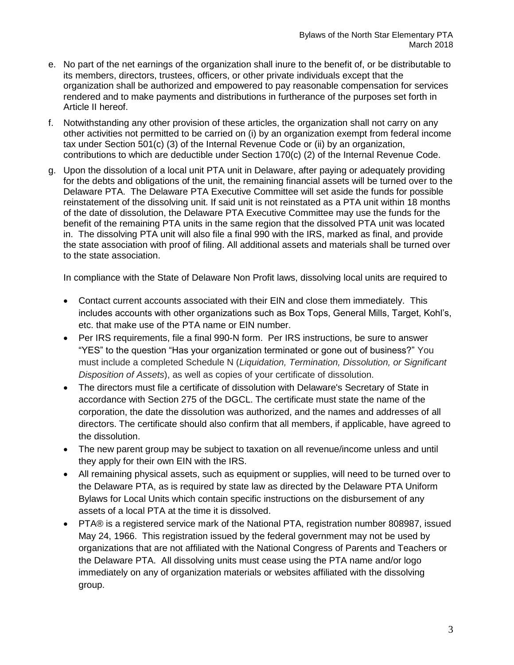- e. No part of the net earnings of the organization shall inure to the benefit of, or be distributable to its members, directors, trustees, officers, or other private individuals except that the organization shall be authorized and empowered to pay reasonable compensation for services rendered and to make payments and distributions in furtherance of the purposes set forth in Article II hereof.
- f. Notwithstanding any other provision of these articles, the organization shall not carry on any other activities not permitted to be carried on (i) by an organization exempt from federal income tax under Section 501(c) (3) of the Internal Revenue Code or (ii) by an organization, contributions to which are deductible under Section 170(c) (2) of the Internal Revenue Code.
- g. Upon the dissolution of a local unit PTA unit in Delaware, after paying or adequately providing for the debts and obligations of the unit, the remaining financial assets will be turned over to the Delaware PTA. The Delaware PTA Executive Committee will set aside the funds for possible reinstatement of the dissolving unit. If said unit is not reinstated as a PTA unit within 18 months of the date of dissolution, the Delaware PTA Executive Committee may use the funds for the benefit of the remaining PTA units in the same region that the dissolved PTA unit was located in. The dissolving PTA unit will also file a final 990 with the IRS, marked as final, and provide the state association with proof of filing. All additional assets and materials shall be turned over to the state association.

In compliance with the State of Delaware Non Profit laws, dissolving local units are required to

- Contact current accounts associated with their EIN and close them immediately. This includes accounts with other organizations such as Box Tops, General Mills, Target, Kohl's, etc. that make use of the PTA name or EIN number.
- Per IRS requirements, file a final 990-N form. Per IRS instructions, be sure to answer "YES" to the question "Has your organization terminated or gone out of business?" You must include a completed Schedule N (*Liquidation, Termination, Dissolution, or Significant Disposition of Assets*), as well as copies of your certificate of dissolution.
- The directors must file a certificate of dissolution with Delaware's Secretary of State in accordance with Section 275 of the DGCL. The certificate must state the name of the corporation, the date the dissolution was authorized, and the names and addresses of all directors. The certificate should also confirm that all members, if applicable, have agreed to the dissolution.
- The new parent group may be subject to taxation on all revenue/income unless and until they apply for their own EIN with the IRS.
- All remaining physical assets, such as equipment or supplies, will need to be turned over to the Delaware PTA, as is required by state law as directed by the Delaware PTA Uniform Bylaws for Local Units which contain specific instructions on the disbursement of any assets of a local PTA at the time it is dissolved.
- PTA® is a registered service mark of the National PTA, registration number 808987, issued May 24, 1966. This registration issued by the federal government may not be used by organizations that are not affiliated with the National Congress of Parents and Teachers or the Delaware PTA. All dissolving units must cease using the PTA name and/or logo immediately on any of organization materials or websites affiliated with the dissolving group.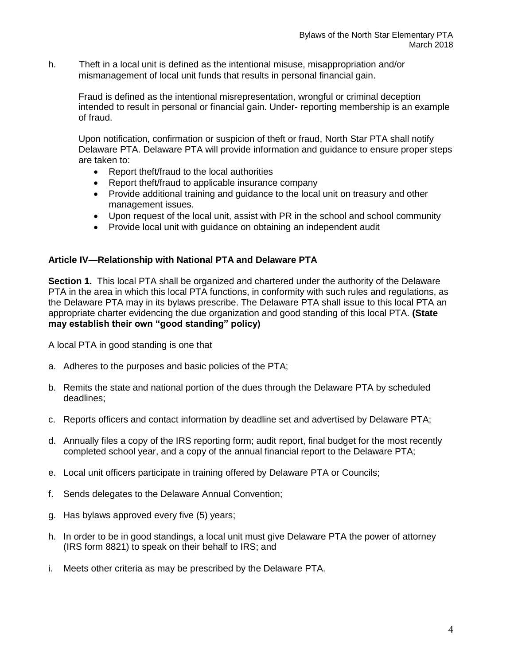h. Theft in a local unit is defined as the intentional misuse, misappropriation and/or mismanagement of local unit funds that results in personal financial gain.

Fraud is defined as the intentional misrepresentation, wrongful or criminal deception intended to result in personal or financial gain. Under- reporting membership is an example of fraud.

Upon notification, confirmation or suspicion of theft or fraud, North Star PTA shall notify Delaware PTA. Delaware PTA will provide information and guidance to ensure proper steps are taken to:

- Report theft/fraud to the local authorities
- Report theft/fraud to applicable insurance company
- Provide additional training and guidance to the local unit on treasury and other management issues.
- Upon request of the local unit, assist with PR in the school and school community
- Provide local unit with guidance on obtaining an independent audit

# **Article IV—Relationship with National PTA and Delaware PTA**

**Section 1.** This local PTA shall be organized and chartered under the authority of the Delaware PTA in the area in which this local PTA functions, in conformity with such rules and regulations, as the Delaware PTA may in its bylaws prescribe. The Delaware PTA shall issue to this local PTA an appropriate charter evidencing the due organization and good standing of this local PTA. **(State may establish their own "good standing" policy)**

A local PTA in good standing is one that

- a. Adheres to the purposes and basic policies of the PTA;
- b. Remits the state and national portion of the dues through the Delaware PTA by scheduled deadlines;
- c. Reports officers and contact information by deadline set and advertised by Delaware PTA;
- d. Annually files a copy of the IRS reporting form; audit report, final budget for the most recently completed school year, and a copy of the annual financial report to the Delaware PTA;
- e. Local unit officers participate in training offered by Delaware PTA or Councils;
- f. Sends delegates to the Delaware Annual Convention;
- g. Has bylaws approved every five (5) years;
- h. In order to be in good standings, a local unit must give Delaware PTA the power of attorney (IRS form 8821) to speak on their behalf to IRS; and
- i. Meets other criteria as may be prescribed by the Delaware PTA.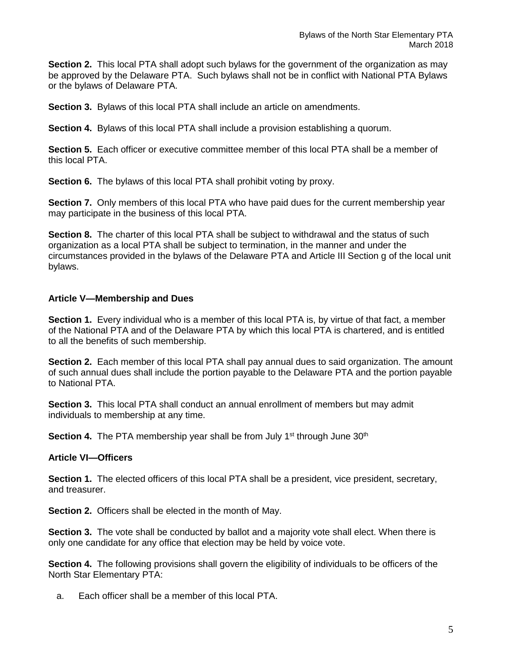**Section 2.** This local PTA shall adopt such bylaws for the government of the organization as may be approved by the Delaware PTA. Such bylaws shall not be in conflict with National PTA Bylaws or the bylaws of Delaware PTA.

**Section 3.** Bylaws of this local PTA shall include an article on amendments.

**Section 4.** Bylaws of this local PTA shall include a provision establishing a quorum.

**Section 5.** Each officer or executive committee member of this local PTA shall be a member of this local PTA.

**Section 6.** The bylaws of this local PTA shall prohibit voting by proxy.

**Section 7.** Only members of this local PTA who have paid dues for the current membership year may participate in the business of this local PTA.

**Section 8.** The charter of this local PTA shall be subject to withdrawal and the status of such organization as a local PTA shall be subject to termination, in the manner and under the circumstances provided in the bylaws of the Delaware PTA and Article III Section g of the local unit bylaws.

#### **Article V—Membership and Dues**

**Section 1.** Every individual who is a member of this local PTA is, by virtue of that fact, a member of the National PTA and of the Delaware PTA by which this local PTA is chartered, and is entitled to all the benefits of such membership.

**Section 2.** Each member of this local PTA shall pay annual dues to said organization. The amount of such annual dues shall include the portion payable to the Delaware PTA and the portion payable to National PTA.

**Section 3.** This local PTA shall conduct an annual enrollment of members but may admit individuals to membership at any time.

**Section 4.** The PTA membership year shall be from July 1<sup>st</sup> through June 30<sup>th</sup>

#### **Article VI—Officers**

**Section 1.** The elected officers of this local PTA shall be a president, vice president, secretary, and treasurer.

**Section 2.** Officers shall be elected in the month of May.

**Section 3.** The vote shall be conducted by ballot and a majority vote shall elect. When there is only one candidate for any office that election may be held by voice vote.

**Section 4.** The following provisions shall govern the eligibility of individuals to be officers of the North Star Elementary PTA:

a. Each officer shall be a member of this local PTA.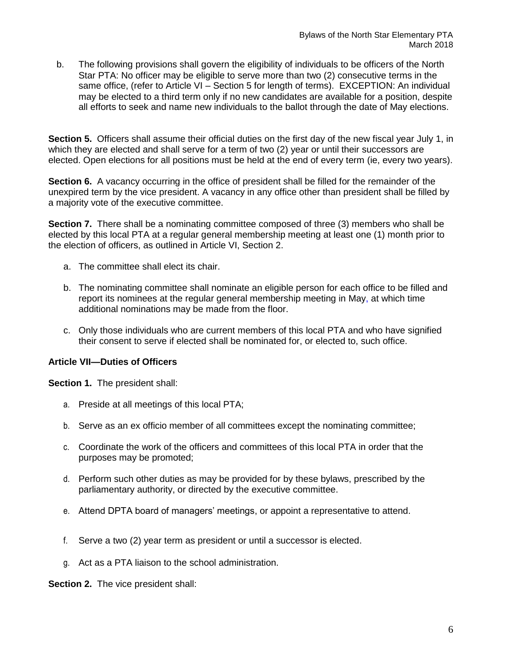b. The following provisions shall govern the eligibility of individuals to be officers of the North Star PTA: No officer may be eligible to serve more than two (2) consecutive terms in the same office, (refer to Article VI – Section 5 for length of terms). EXCEPTION: An individual may be elected to a third term only if no new candidates are available for a position, despite all efforts to seek and name new individuals to the ballot through the date of May elections.

**Section 5.** Officers shall assume their official duties on the first day of the new fiscal year July 1, in which they are elected and shall serve for a term of two (2) year or until their successors are elected. Open elections for all positions must be held at the end of every term (ie, every two years).

**Section 6.** A vacancy occurring in the office of president shall be filled for the remainder of the unexpired term by the vice president. A vacancy in any office other than president shall be filled by a majority vote of the executive committee.

**Section 7.** There shall be a nominating committee composed of three (3) members who shall be elected by this local PTA at a regular general membership meeting at least one (1) month prior to the election of officers, as outlined in Article VI, Section 2.

- a. The committee shall elect its chair.
- b. The nominating committee shall nominate an eligible person for each office to be filled and report its nominees at the regular general membership meeting in May, at which time additional nominations may be made from the floor.
- c. Only those individuals who are current members of this local PTA and who have signified their consent to serve if elected shall be nominated for, or elected to, such office.

## **Article VII—Duties of Officers**

**Section 1.** The president shall:

- a. Preside at all meetings of this local PTA;
- b. Serve as an ex officio member of all committees except the nominating committee;
- c. Coordinate the work of the officers and committees of this local PTA in order that the purposes may be promoted;
- d. Perform such other duties as may be provided for by these bylaws, prescribed by the parliamentary authority, or directed by the executive committee.
- e. Attend DPTA board of managers' meetings, or appoint a representative to attend.
- f. Serve a two (2) year term as president or until a successor is elected.
- g. Act as a PTA liaison to the school administration.

**Section 2.** The vice president shall: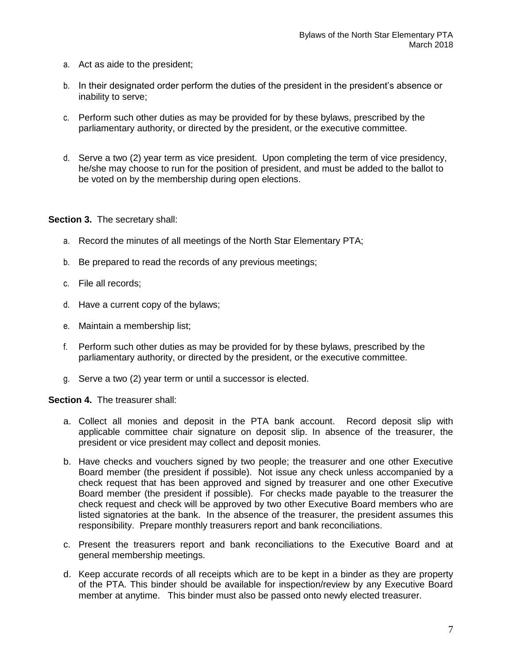- a. Act as aide to the president;
- b. In their designated order perform the duties of the president in the president's absence or inability to serve;
- c. Perform such other duties as may be provided for by these bylaws, prescribed by the parliamentary authority, or directed by the president, or the executive committee.
- d. Serve a two (2) year term as vice president. Upon completing the term of vice presidency, he/she may choose to run for the position of president, and must be added to the ballot to be voted on by the membership during open elections.

**Section 3.** The secretary shall:

- a. Record the minutes of all meetings of the North Star Elementary PTA;
- b. Be prepared to read the records of any previous meetings;
- c. File all records;
- d. Have a current copy of the bylaws;
- e. Maintain a membership list;
- f. Perform such other duties as may be provided for by these bylaws, prescribed by the parliamentary authority, or directed by the president, or the executive committee.
- g. Serve a two (2) year term or until a successor is elected.

**Section 4.** The treasurer shall:

- a. Collect all monies and deposit in the PTA bank account. Record deposit slip with applicable committee chair signature on deposit slip. In absence of the treasurer, the president or vice president may collect and deposit monies.
- b. Have checks and vouchers signed by two people; the treasurer and one other Executive Board member (the president if possible). Not issue any check unless accompanied by a check request that has been approved and signed by treasurer and one other Executive Board member (the president if possible). For checks made payable to the treasurer the check request and check will be approved by two other Executive Board members who are listed signatories at the bank. In the absence of the treasurer, the president assumes this responsibility. Prepare monthly treasurers report and bank reconciliations.
- c. Present the treasurers report and bank reconciliations to the Executive Board and at general membership meetings.
- d. Keep accurate records of all receipts which are to be kept in a binder as they are property of the PTA. This binder should be available for inspection/review by any Executive Board member at anytime. This binder must also be passed onto newly elected treasurer.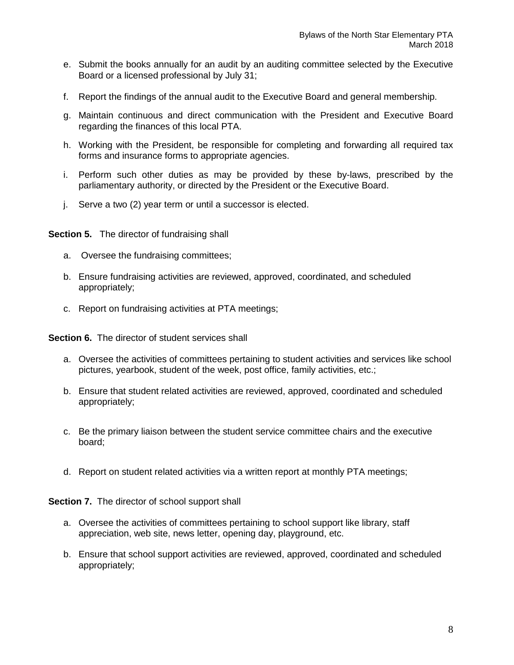- e. Submit the books annually for an audit by an auditing committee selected by the Executive Board or a licensed professional by July 31;
- f. Report the findings of the annual audit to the Executive Board and general membership.
- g. Maintain continuous and direct communication with the President and Executive Board regarding the finances of this local PTA.
- h. Working with the President, be responsible for completing and forwarding all required tax forms and insurance forms to appropriate agencies.
- i. Perform such other duties as may be provided by these by-laws, prescribed by the parliamentary authority, or directed by the President or the Executive Board.
- j. Serve a two (2) year term or until a successor is elected.

**Section 5.** The director of fundraising shall

- a. Oversee the fundraising committees;
- b. Ensure fundraising activities are reviewed, approved, coordinated, and scheduled appropriately;
- c. Report on fundraising activities at PTA meetings;

**Section 6.** The director of student services shall

- a. Oversee the activities of committees pertaining to student activities and services like school pictures, yearbook, student of the week, post office, family activities, etc.;
- b. Ensure that student related activities are reviewed, approved, coordinated and scheduled appropriately;
- c. Be the primary liaison between the student service committee chairs and the executive board;
- d. Report on student related activities via a written report at monthly PTA meetings;

**Section 7.** The director of school support shall

- a. Oversee the activities of committees pertaining to school support like library, staff appreciation, web site, news letter, opening day, playground, etc.
- b. Ensure that school support activities are reviewed, approved, coordinated and scheduled appropriately;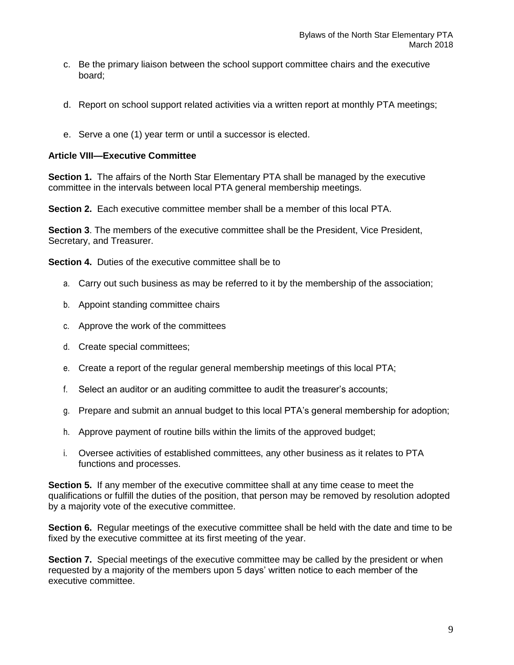- c. Be the primary liaison between the school support committee chairs and the executive board;
- d. Report on school support related activities via a written report at monthly PTA meetings;
- e. Serve a one (1) year term or until a successor is elected.

## **Article VIII—Executive Committee**

**Section 1.** The affairs of the North Star Elementary PTA shall be managed by the executive committee in the intervals between local PTA general membership meetings.

**Section 2.** Each executive committee member shall be a member of this local PTA.

**Section 3**. The members of the executive committee shall be the President, Vice President, Secretary, and Treasurer.

**Section 4.** Duties of the executive committee shall be to

- a. Carry out such business as may be referred to it by the membership of the association;
- b. Appoint standing committee chairs
- c. Approve the work of the committees
- d. Create special committees;
- e. Create a report of the regular general membership meetings of this local PTA;
- f. Select an auditor or an auditing committee to audit the treasurer's accounts;
- g. Prepare and submit an annual budget to this local PTA's general membership for adoption;
- h. Approve payment of routine bills within the limits of the approved budget;
- i. Oversee activities of established committees, any other business as it relates to PTA functions and processes.

**Section 5.** If any member of the executive committee shall at any time cease to meet the qualifications or fulfill the duties of the position, that person may be removed by resolution adopted by a majority vote of the executive committee.

**Section 6.** Regular meetings of the executive committee shall be held with the date and time to be fixed by the executive committee at its first meeting of the year.

**Section 7.** Special meetings of the executive committee may be called by the president or when requested by a majority of the members upon 5 days' written notice to each member of the executive committee.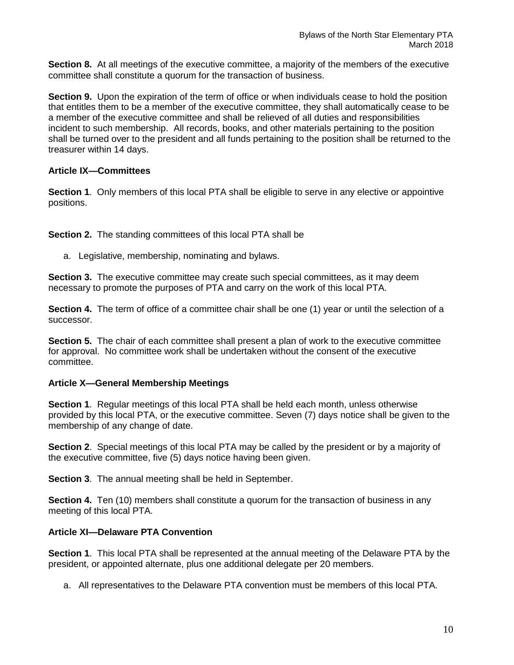**Section 8.** At all meetings of the executive committee, a majority of the members of the executive committee shall constitute a quorum for the transaction of business.

**Section 9.** Upon the expiration of the term of office or when individuals cease to hold the position that entitles them to be a member of the executive committee, they shall automatically cease to be a member of the executive committee and shall be relieved of all duties and responsibilities incident to such membership. All records, books, and other materials pertaining to the position shall be turned over to the president and all funds pertaining to the position shall be returned to the treasurer within 14 days.

# **Article IX—Committees**

**Section 1**. Only members of this local PTA shall be eligible to serve in any elective or appointive positions.

**Section 2.** The standing committees of this local PTA shall be

a. Legislative, membership, nominating and bylaws.

**Section 3.** The executive committee may create such special committees, as it may deem necessary to promote the purposes of PTA and carry on the work of this local PTA.

**Section 4.** The term of office of a committee chair shall be one (1) year or until the selection of a successor.

**Section 5.** The chair of each committee shall present a plan of work to the executive committee for approval. No committee work shall be undertaken without the consent of the executive committee.

## **Article X—General Membership Meetings**

**Section 1**. Regular meetings of this local PTA shall be held each month, unless otherwise provided by this local PTA, or the executive committee. Seven (7) days notice shall be given to the membership of any change of date.

**Section 2**. Special meetings of this local PTA may be called by the president or by a majority of the executive committee, five (5) days notice having been given.

**Section 3**. The annual meeting shall be held in September.

**Section 4.** Ten (10) members shall constitute a quorum for the transaction of business in any meeting of this local PTA.

# **Article XI—Delaware PTA Convention**

**Section 1**. This local PTA shall be represented at the annual meeting of the Delaware PTA by the president, or appointed alternate, plus one additional delegate per 20 members.

a. All representatives to the Delaware PTA convention must be members of this local PTA.